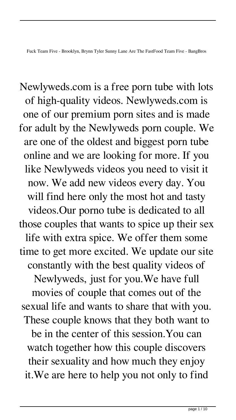Fuck Team Five - Brooklyn, Brynn Tyler Sunny Lane Are The FastFood Team Five - BangBros

Newlyweds.com is a free porn tube with lots of high-quality videos. Newlyweds.com is one of our premium porn sites and is made for adult by the Newlyweds porn couple. We are one of the oldest and biggest porn tube online and we are looking for more. If you like Newlyweds videos you need to visit it now. We add new videos every day. You will find here only the most hot and tasty videos.Our porno tube is dedicated to all those couples that wants to spice up their sex life with extra spice. We offer them some time to get more excited. We update our site constantly with the best quality videos of Newlyweds, just for you.We have full movies of couple that comes out of the sexual life and wants to share that with you. These couple knows that they both want to be in the center of this session.You can watch together how this couple discovers their sexuality and how much they enjoy it.We are here to help you not only to find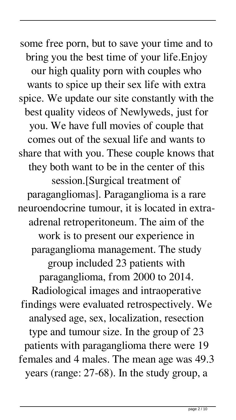some free porn, but to save your time and to bring you the best time of your life.Enjoy our high quality porn with couples who wants to spice up their sex life with extra spice. We update our site constantly with the best quality videos of Newlyweds, just for you. We have full movies of couple that comes out of the sexual life and wants to share that with you. These couple knows that they both want to be in the center of this session.[Surgical treatment of paragangliomas]. Paraganglioma is a rare neuroendocrine tumour, it is located in extraadrenal retroperitoneum. The aim of the work is to present our experience in paraganglioma management. The study group included 23 patients with paraganglioma, from 2000 to 2014. Radiological images and intraoperative findings were evaluated retrospectively. We analysed age, sex, localization, resection type and tumour size. In the group of 23 patients with paraganglioma there were 19 females and 4 males. The mean age was 49.3 years (range: 27-68). In the study group, a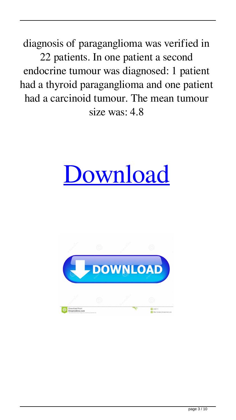diagnosis of paraganglioma was verified in 22 patients. In one patient a second endocrine tumour was diagnosed: 1 patient had a thyroid paraganglioma and one patient had a carcinoid tumour. The mean tumour size was: 4.8

## [Download](http://evacdir.com/bolognese/RnVjayBUZWFtIEZpdmUgLSBCcm9va2x5biwgQnJ5bm4gVHlsZXIgU3VubnkgTGFuZSBBcmUgVGhlIEZhc3RGb29kIFRlYW0gRml2ZSAtIEJhbmdCcm9zRnV/redman/hunky.portugese=ZG93bmxvYWR8bzVTTVhwd1ozeDhNVFkxTWpjME1EZzJObng4TWpVM05IeDhLRTBwSUhKbFlXUXRZbXh2WnlCYlJtRnpkQ0JIUlU1ZA.kanigos.lingonberry)

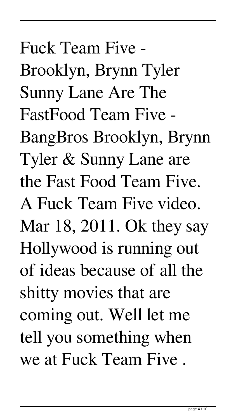Fuck Team Five - Brooklyn, Brynn Tyler Sunny Lane Are The FastFood Team Five - BangBros Brooklyn, Brynn Tyler & Sunny Lane are the Fast Food Team Five. A Fuck Team Five video. Mar 18, 2011. Ok they say Hollywood is running out of ideas because of all the shitty movies that are coming out. Well let me tell you something when we at Fuck Team Five .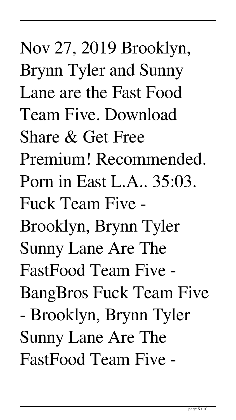Nov 27, 2019 Brooklyn, Brynn Tyler and Sunny Lane are the Fast Food Team Five. Download Share & Get Free Premium! Recommended. Porn in East L.A.. 35:03. Fuck Team Five - Brooklyn, Brynn Tyler Sunny Lane Are The FastFood Team Five - BangBros Fuck Team Five - Brooklyn, Brynn Tyler Sunny Lane Are The FastFood Team Five -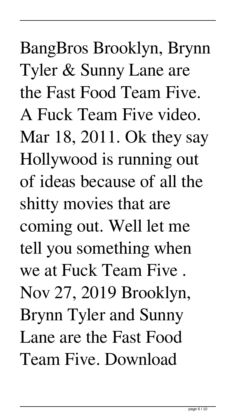BangBros Brooklyn, Brynn Tyler & Sunny Lane are the Fast Food Team Five. A Fuck Team Five video. Mar 18, 2011. Ok they say Hollywood is running out of ideas because of all the shitty movies that are coming out. Well let me tell you something when we at Fuck Team Five . Nov 27, 2019 Brooklyn, Brynn Tyler and Sunny Lane are the Fast Food Team Five. Download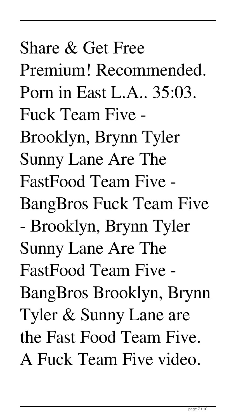Share & Get Free Premium! Recommended. Porn in East L.A.. 35:03. Fuck Team Five - Brooklyn, Brynn Tyler Sunny Lane Are The FastFood Team Five - BangBros Fuck Team Five - Brooklyn, Brynn Tyler Sunny Lane Are The FastFood Team Five - BangBros Brooklyn, Brynn Tyler & Sunny Lane are the Fast Food Team Five. A Fuck Team Five video.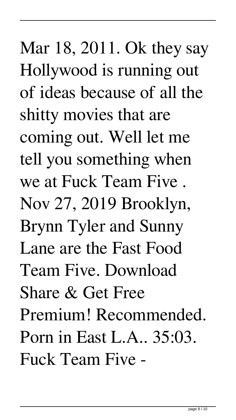Mar 18, 2011. Ok they say Hollywood is running out of ideas because of all the shitty movies that are coming out. Well let me tell you something when we at Fuck Team Five . Nov 27, 2019 Brooklyn, Brynn Tyler and Sunny Lane are the Fast Food Team Five. Download Share & Get Free Premium! Recommended. Porn in East L.A.. 35:03. Fuck Team Five -